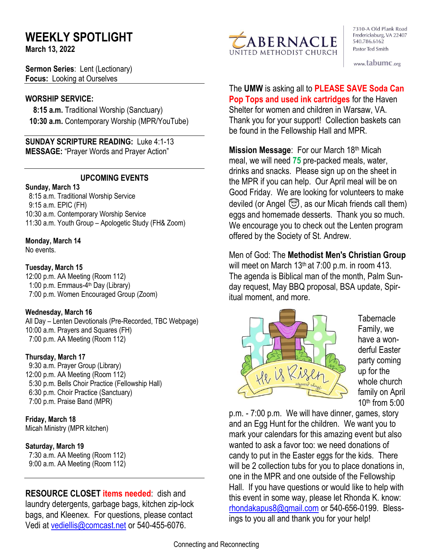# **WEEKLY SPOTLIGHT**

**March 13, 2022** 

**Sermon Series**: Lent (Lectionary) **Focus:** Looking at Ourselves

#### **WORSHIP SERVICE:**

 **8:15 a.m.** Traditional Worship (Sanctuary)  **10:30 a.m.** Contemporary Worship (MPR/YouTube)

**SUNDAY SCRIPTURE READING:** Luke 4:1-13 **MESSAGE:** "Prayer Words and Prayer Action"

#### **UPCOMING EVENTS**

#### **Sunday, March 13**

8:15 a.m. Traditional Worship Service 9:15 a.m. EPIC (FH) 10:30 a.m. Contemporary Worship Service 11:30 a.m. Youth Group – Apologetic Study (FH& Zoom)

#### **Monday, March 14**

No events.

#### **Tuesday, March 15**

12:00 p.m. AA Meeting (Room 112) 1:00 p.m. Emmaus-4<sup>th</sup> Day (Library) 7:00 p.m. Women Encouraged Group (Zoom)

#### **Wednesday, March 16**

All Day – Lenten Devotionals (Pre-Recorded, TBC Webpage) 10:00 a.m. Prayers and Squares (FH) 7:00 p.m. AA Meeting (Room 112)

#### **Thursday, March 17**

9:30 a.m. Prayer Group (Library) 12:00 p.m. AA Meeting (Room 112) 5:30 p.m. Bells Choir Practice (Fellowship Hall) 6:30 p.m. Choir Practice (Sanctuary) 7:00 p.m. Praise Band (MPR)

#### **Friday, March 18**

Micah Ministry (MPR kitchen)

#### **Saturday, March 19**

 7:30 a.m. AA Meeting (Room 112) 9:00 a.m. AA Meeting (Room 112)

**RESOURCE CLOSET items needed**: dish and laundry detergents, garbage bags, kitchen zip-lock bags, and Kleenex. For questions, please contact Vedi at [vediellis@comcast.net](mailto:vediellis@comcast.net) or 540-455-6076.



7310-A Old Plank Road Fredericksburg, VA 22407 540.786.6162 Pastor Ted Smith

www.tabumc.org

The **UMW** is asking all to **PLEASE SAVE Soda Can Pop Tops and used ink cartridges** for the Haven Shelter for women and children in Warsaw, VA. Thank you for your support! Collection baskets can be found in the Fellowship Hall and MPR.

**Mission Message**: For our March 18th Micah meal, we will need **75** pre-packed meals, water, drinks and snacks. Please sign up on the sheet in the MPR if you can help. Our April meal will be on Good Friday. We are looking for volunteers to make deviled (or Angel  $\mathfrak{S}$ , as our Micah friends call them) eggs and homemade desserts. Thank you so much. We encourage you to check out the Lenten program offered by the Society of St. Andrew.

Men of God: The **Methodist Men's Christian Group** will meet on March  $13<sup>th</sup>$  at 7:00 p.m. in room 413. The agenda is Biblical man of the month, Palm Sunday request, May BBQ proposal, BSA update, Spiritual moment, and more.



**Tabernacle** Family, we have a wonderful Easter party coming up for the whole church family on April  $10<sup>th</sup>$  from  $5:00$ 

p.m. - 7:00 p.m. We will have dinner, games, story and an Egg Hunt for the children. We want you to mark your calendars for this amazing event but also wanted to ask a favor too: we need donations of candy to put in the Easter eggs for the kids. There will be 2 collection tubs for you to place donations in, one in the MPR and one outside of the Fellowship Hall. If you have questions or would like to help with this event in some way, please let Rhonda K. know: [rhondakapus8@gmail.com](mailto:rhondakapus8@gmail.com) or 540-656-0199. Blessings to you all and thank you for your help!